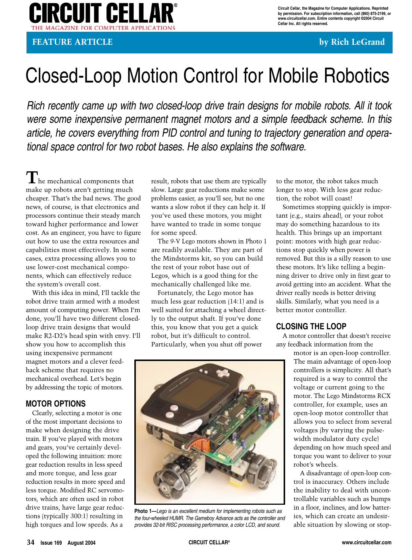# IIT CI

**FEATURE ARTICLE by Rich LeGrand** 

#### **Circuit Cellar, the Magazine for Computer Applications. Reprinted by permission. For subscription information, call (860) 875-2199, or www.circuitcellar.com. Entire contents copyright ©2004 Circuit Cellar Inc. All rights reserved.**

## Closed-Loop Motion Control for Mobile Robotics

Rich recently came up with two closed-loop drive train designs for mobile robots. All it took were some inexpensive permanent magnet motors and a simple feedback scheme. In this article, he covers everything from PID control and tuning to trajectory generation and operational space control for two robot bases. He also explains the software.

 $\mathbf{T}$ he mechanical components that make up robots aren't getting much cheaper. That's the bad news. The good news, of course, is that electronics and processors continue their steady march toward higher performance and lower cost. As an engineer, you have to figure out how to use the extra resources and capabilities most effectively. In some cases, extra processing allows you to use lower-cost mechanical components, which can effectively reduce the system's overall cost.

With this idea in mind, I'll tackle the robot drive train armed with a modest amount of computing power. When I'm done, you'll have two different closedloop drive train designs that would make R2-D2's head spin with envy. I'll show you how to accomplish this using inexpensive permanent magnet motors and a clever feedback scheme that requires no mechanical overhead. Let's begin by addressing the topic of motors.

### **MOTOR OPTIONS**

Clearly, selecting a motor is one of the most important decisions to make when designing the drive train. If you've played with motors and gears, you've certainly developed the following intuition: more gear reduction results in less speed and more torque, and less gear reduction results in more speed and less torque. Modified RC servomotors, which are often used in robot drive trains, have large gear reductions (typically 300:1) resulting in high torques and low speeds. As a

result, robots that use them are typically slow. Large gear reductions make some problems easier, as you'll see, but no one wants a slow robot if they can help it. If you've used these motors, you might have wanted to trade in some torque for some speed.

The 9-V Lego motors shown in Photo 1 are readily available. They are part of the Mindstorms kit, so you can build the rest of your robot base out of Legos, which is a good thing for the mechanically challenged like me.

Fortunately, the Lego motor has much less gear reduction (14:1) and is well suited for attaching a wheel directly to the output shaft. If you've done this, you know that you get a quick robot, but it's difficult to control. Particularly, when you shut off power



**Photo 1—**Lego is an excellent medium for implementing robots such as the four-wheeled HUMR. The Gameboy Advance acts as the controller and provides 32-bit RISC processing performance, a color LCD, and sound.

to the motor, the robot takes much longer to stop. With less gear reduction, the robot will coast!

Sometimes stopping quickly is important (e.g., stairs ahead), or your robot may do something hazardous to its health. This brings up an important point: motors with high gear reductions stop quickly when power is removed. But this is a silly reason to use these motors. It's like telling a beginning driver to drive only in first gear to avoid getting into an accident. What the driver really needs is better driving skills. Similarly, what you need is a better motor controller.

### **CLOSING THE LOOP**

A motor controller that doesn't receive any feedback information from the

> motor is an open-loop controller. The main advantage of open-loop controllers is simplicity. All that's required is a way to control the voltage or current going to the motor. The Lego Mindstorms RCX controller, for example, uses an open-loop motor controller that allows you to select from several voltages (by varying the pulsewidth modulator duty cycle) depending on how much speed and torque you want to deliver to your robot's wheels.

> A disadvantage of open-loop control is inaccuracy. Others include the inability to deal with uncontrollable variables such as bumps in a floor, inclines, and low batteries, which can create an undesirable situation by slowing or stop-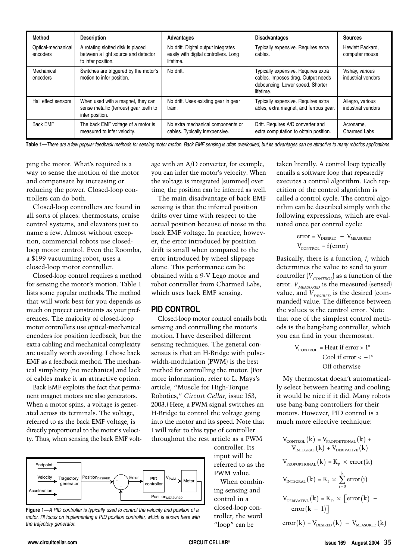| <b>Method</b>                  | <b>Description</b>                                                                             | Advantages                                                                                | <b>Disadvantages</b>                                                                                                       | <b>Sources</b>                         |
|--------------------------------|------------------------------------------------------------------------------------------------|-------------------------------------------------------------------------------------------|----------------------------------------------------------------------------------------------------------------------------|----------------------------------------|
| Optical-mechanical<br>encoders | A rotating slotted disk is placed<br>between a light source and detector<br>to infer position. | No drift. Digital output integrates<br>easily with digital controllers. Long<br>lifetime. | Typically expensive. Requires extra<br>cables.                                                                             | Hewlett Packard,<br>computer mouse     |
| Mechanical<br>encoders         | Switches are triggered by the motor's<br>motion to infer position.                             | No drift.                                                                                 | Typically expensive. Requires extra<br>cables. Imposes drag. Output needs<br>debouncing. Lower speed. Shorter<br>lifetime. | Vishay, various<br>industrial vendors  |
| Hall effect sensors            | When used with a magnet, they can<br>sense metallic (ferrous) gear teeth to<br>infer position. | No drift. Uses existing gear in gear<br>train.                                            | Typically expensive. Requires extra<br>ables, extra magnet, and ferrous gear.                                              | Allegro, various<br>industrial vendors |
| <b>Back EMF</b>                | The back EMF voltage of a motor is<br>measured to infer velocity.                              | No extra mechanical components or<br>cables. Typically inexpensive.                       | Drift. Requires A/D converter and<br>extra computation to obtain position.                                                 | Acroname.<br>Charmed Labs              |

Table 1—There are a few popular feedback methods for sensing motor motion. Back EMF sensing is often overlooked, but its advantages can be attractive to many robotics applications.

ping the motor. What's required is a way to sense the motion of the motor and compensate by increasing or reducing the power. Closed-loop controllers can do both.

Closed-loop controllers are found in all sorts of places: thermostats, cruise control systems, and elevators just to name a few. Almost without exception, commercial robots use closedloop motor control. Even the Roomba, a \$199 vacuuming robot, uses a closed-loop motor controller.

Closed-loop control requires a method for sensing the motor's motion. Table 1 lists some popular methods. The method that will work best for you depends as much on project constraints as your preferences. The majority of closed-loop motor controllers use optical-mechanical encoders for position feedback, but the extra cabling and mechanical complexity are usually worth avoiding. I chose back EMF as a feedback method. The mechanical simplicity (no mechanics) and lack of cables make it an attractive option.

Back EMF exploits the fact that permanent magnet motors are also generators. When a motor spins, a voltage is generated across its terminals. The voltage, referred to as the back EMF voltage, is directly proportional to the motor's velocity. Thus, when sensing the back EMF voltage with an A/D converter, for example, you can infer the motor's velocity. When the voltage is integrated (summed) over time, the position can be inferred as well.

The main disadvantage of back EMF sensing is that the inferred position drifts over time with respect to the actual position because of noise in the back EMF voltage. In practice, however, the error introduced by position drift is small when compared to the error introduced by wheel slippage alone. This performance can be obtained with a 9-V Lego motor and robot controller from Charmed Labs, which uses back EMF sensing.

#### **PID CONTROL**

Closed-loop motor control entails both sensing and controlling the motor's motion. I have described different sensing techniques. The general consensus is that an H-Bridge with pulsewidth-modulation (PWM) is the best method for controlling the motor. (For more information, refer to L. Mays's article, "Muscle for High-Torque Robotics," *Circuit Cellar*, issue 153, 2003.) Here, a PWM signal switches an H-Bridge to control the voltage going into the motor and its speed. Note that I will refer to this type of controller throughout the rest article as a PWM



Figure 1-A PID controller is typically used to control the velocity and position of a motor. I'll focus on implementing a PID position controller, which is shown here with the trajectory generator.

controller. Its input will be referred to as the PWM value. When combin-

ing sensing and control in a closed-loop controller, the word "loop" can be

taken literally. A control loop typically entails a software loop that repeatedly executes a control algorithm. Each repetition of the control algorithm is called a control cycle. The control algorithm can be described simply with the following expressions, which are evaluated once per control cycle:

$$
error = V_{DESIRED} - V_{MEASURED}
$$

$$
V_{CONTROL} = f(error)
$$

Basically, there is a function, *f*, which determines the value to send to your controller  $(V_{CONTROL})$  as a function of the error.  $V_{MEASURED}$  is the measured (sensed) value, and  $V_{DESIRED}$  is the desired (commanded) value. The difference between the values is the control error. Note that one of the simplest control methods is the bang-bang controller, which you can find in your thermostat.

$$
V_{\text{CONTROL}} = \text{Heat if error} > 1^{\circ}
$$
  
Cool if error  $< -1^{\circ}$   
Off otherwise

My thermostat doesn't automatically select between heating and cooling; it would be nice if it did. Many robots use bang-bang controllers for their motors. However, PID control is a much more effective technique:

$$
V_{\text{CONTROL}}(k) = V_{\text{PROPORTIONAL}}(k) + V_{\text{DERIVATIVE}}(k)
$$
  
\n
$$
V_{\text{INTEGRAL}}(k) + V_{\text{DERIVATIVE}}(k)
$$
  
\n
$$
V_{\text{PROPORTIONAL}}(k) = K_{\text{P}} \times \text{error}(k)
$$
  
\n
$$
V_{\text{INTEGRAL}}(k) = K_{\text{I}} \times \sum_{j=0}^{k} \text{error}(j)
$$
  
\n
$$
V_{\text{DERIVATIVE}}(k) = K_{\text{D}} \times \text{[error}(k) - \text{error}(k-1)]
$$

 $error(k) = V_{DESIRED}(k) - V_{MEASURED}(k)$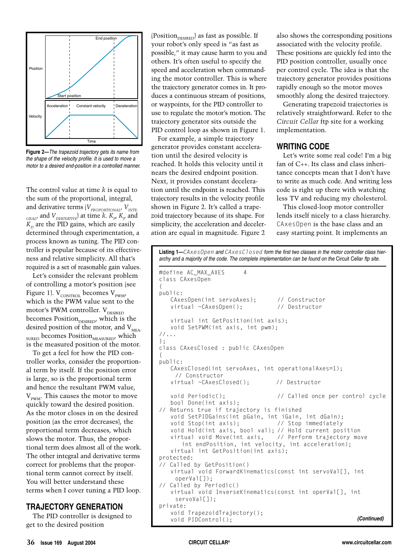

**Figure 2—**The trapezoid trajectory gets its name from the shape of the velocity profile. It is used to move a motor to a desired end-position in a controlled manner.

The control value at time *k* is equal to the sum of the proportional, integral, and derivative terms  $(V_{PROPORTIONAL}$ ,  $V_{INTE}$  $_{\tiny{GRAL^{\prime}}}$  and  $V_{_{\tiny{DERIVATIVE}}}$  at time  $k$ .  $K_{_{\tiny{P^{\prime}}}}$   $K_{_{\tiny{P^{\prime}}} }$  and  $K<sub>D</sub>$  are the PID gains, which are easily determined through experimentation, a process known as tuning. The PID controller is popular because of its effectiveness and relative simplicity. All that's required is a set of reasonable gain values.

Let's consider the relevant problem of controlling a motor's position (see Figure 1).  $V_{CONTROL}$  becomes  $V_{p_{WM'}}$ which is the PWM value sent to the motor's PWM controller. V<sub>DESIRED</sub> becomes Position<sub>DESIRED</sub>, which is the desired position of the motor, and  $V_{MEA}$ .  $_{\textnormal{\tiny{SURED}}}$  becomes Position  $_{\textnormal{\tiny{MEASURED'}}}$  which is the measured position of the motor.

To get a feel for how the PID controller works, consider the proportional term by itself. If the position error is large, so is the proportional term and hence the resultant PWM value,  $V<sub>pWM</sub>$ . This causes the motor to move quickly toward the desired position. As the motor closes in on the desired position (as the error decreases), the proportional term decreases, which slows the motor. Thus, the proportional term does almost all of the work. The other integral and derivative terms correct for problems that the proportional term cannot correct by itself. You will better understand these terms when I cover tuning a PID loop.

#### **TRAJECTORY GENERATION**

The PID controller is designed to get to the desired position

(Position $_{\text{DESIRED}}$ ) as fast as possible. If your robot's only speed is "as fast as possible," it may cause harm to you and others. It's often useful to specify the speed and acceleration when commanding the motor controller. This is where the trajectory generator comes in. It produces a continuous stream of positions, or waypoints, for the PID controller to use to regulate the motor's motion. The trajectory generator sits outside the PID control loop as shown in Figure 1.

For example, a simple trajectory generator provides constant acceleration until the desired velocity is reached. It holds this velocity until it nears the desired endpoint position. Next, it provides constant deceleration until the endpoint is reached. This trajectory results in the velocity profile shown in Figure 2. It's called a trapezoid trajectory because of its shape. For simplicity, the acceleration and deceleration are equal in magnitude. Figure 2 also shows the corresponding positions associated with the velocity profile. These positions are quickly fed into the PID position controller, usually once per control cycle. The idea is that the trajectory generator provides positions rapidly enough so the motor moves smoothly along the desired trajectory.

Generating trapezoid trajectories is relatively straightforward. Refer to the *Circuit Cellar* ftp site for a working implementation.

#### **WRITING CODE**

Let's write some real code! I'm a big fan of C++. Its class and class inheritance concepts mean that I don't have to write as much code. And writing less code is right up there with watching less TV and reducing my cholesterol.

This closed-loop motor controller lends itself nicely to a class hierarchy. CAxesOpen is the base class and an easy starting point. It implements an

**Listing 1—***CAxesOpen* and *CAxesClosed* form the first two classes in the motor controller class hierarchy and a majority of the code. The complete implementation can be found on the Circuit Cellar ftp site.

```
#define AC_MAX_AXES 4
class CAxesOpen 
{
public:
   CAxesOpen(int servoAxes); // Constructor
   virtual ~CAxesOpen(); // Destructor
   virtual int GetPosition(int axis); 
   void SetPWM(int axis, int pwm); 
//...
};
class CAxesClosed : public CAxesOpen
{
public:
   CAxesClosed(int servoAxes, int operationalAxes=1);
    // Constructor
   virtual ~CAxesClosed(); // Destructor
   void Periodic(); // Called once per control cycle
   bool Done(int axis); 
// Returns true if trajectory is finished
   void SetPIDGains(int pGain, int iGain, int dGain);
   void Stop(int axis); // Stop immediately
   void Hold(int axis, bool val); // Hold current position<br>virtual void Move(int axis, // Perform trajectory move
   virtual void Move(int axis,
      int endPosition, int velocity, int acceleration);
   virtual int GetPosition(int axis); 
protected:
// Called by GetPosition()
   virtual void ForwardKinematics(const int servoVal[], int 
    operVal[]);
// Called by Periodic()
   virtual void InverseKinematics(const int operVal[], int 
    servoVal[]);
private:
   void TrapezoidTrajectory();
   void PIDControl(); (Continued)
```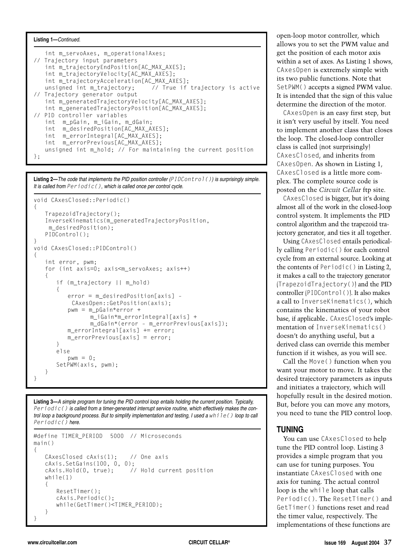#### Listing 1-Continued.

```
int m_servoAxes, m_operationalAxes; 
// Trajectory input parameters
   int m_trajectoryEndPosition[AC_MAX_AXES];
   int m_trajectoryVelocity[AC_MAX_AXES];
   int m_trajectoryAcceleration[AC_MAX_AXES];
   unsigned int m trajectory; // True if trajectory is active
// Trajectory generator output
   int m_generatedTrajectoryVelocity[AC_MAX_AXES];
   int m_generatedTrajectoryPosition[AC_MAX_AXES];
// PID controller variables
   int m_pGain, m_iGain, m_dGain; 
   int m_desiredPosition[AC_MAX_AXES];
   int m_errorIntegral[AC_MAX_AXES]; 
   int m_errorPrevious[AC_MAX_AXES];
   unsigned int m_hold; // For maintaining the current position
};
```
**Listing 2—**The code that implements the PID position controller (*PIDControl()*) is surprisingly simple. It is called from *Periodic()*, which is called once per control cycle.

```
void CAxesClosed::Periodic()
{
   TrapezoidTrajectory();
   InverseKinematics(m_generatedTrajectoryPosition, 
    m_desiredPosition);
   PIDControl();
}
void CAxesClosed::PIDControl()
{
   int error, pwm;
   for (int axis=0; axis<m_servoAxes; axis++)
   {
       if (m_trajectory || m_hold)
       {
          error = m\_desiredPosition[axis] -
          CAxesOpen::GetPosition(axis);
          pwm = m_pGain*error + 
                m_iGain*m_errorIntegral[axis] +
                m_dGain * (error - m_errorPrevious[axis]);
          m_errorIntegral[axis] += error; 
          m_errorPrevious[axis] = error; 
      }
      else
          pwm = 0;
      SetPWM(axis, pwm);
   }
}
```
**Listing 3—**A simple program for tuning the PID control loop entails holding the current position. Typically, *Periodic()* is called from a timer-generated interrupt service routine, which effectively makes the control loop a background process. But to simplify implementation and testing, I used a while () loop to call *Periodic()* here.

```
#define TIMER_PERIOD 5000 // Microseconds
main()
{
   CAxesClosed cAxis(1); // One axis
   cAxis.SetGains(100, 0, 0);
   cAxis.Hold(0, true); // Hold current position
   while(1)
   {
      ResetTimer();
      cAxis.Periodic();
      while(GetTimer()<TIMER_PERIOD);
   } 
}
```
open-loop motor controller, which allows you to set the PWM value and get the position of each motor axis within a set of axes. As Listing 1 shows, CAxesOpen is extremely simple with its two public functions. Note that SetPWM() accepts a signed PWM value. It is intended that the sign of this value determine the direction of the motor.

CAxesOpen is an easy first step, but it isn't very useful by itself. You need to implement another class that closes the loop. The closed-loop controller class is called (not surprisingly) CAxesClosed, and inherits from CAxesOpen. As shown in Listing 1, CAxesClosed is a little more complex. The complete source code is posted on the *Circuit Cellar* ftp site.

CAxesClosed is bigger, but it's doing almost all of the work in the closed-loop control system. It implements the PID control algorithm and the trapezoid trajectory generator, and ties it all together.

Using CAxesClosed entails periodically calling Periodic() for each control cycle from an external source. Looking at the contents of Periodic() in Listing 2, it makes a call to the trajectory generator (TrapezoidTrajectory()) and the PID controller (PIDControl()). It also makes a call to InverseKinematics(), which contains the kinematics of your robot base, if applicable. CAxesClosed's implementation of InverseKinematics() doesn't do anything useful, but a derived class can override this member function if it wishes, as you will see.

Call the Move() function when you want your motor to move. It takes the desired trajectory parameters as inputs and initiates a trajectory, which will hopefully result in the desired motion. But, before you can move any motors, you need to tune the PID control loop.

#### **TUNING**

You can use CAxesClosed to help tune the PID control loop. Listing 3 provides a simple program that you can use for tuning purposes. You instantiate CAxesClosed with one axis for tuning. The actual control loop is the while loop that calls Periodic(). The ResetTimer() and GetTimer() functions reset and read the timer value, respectively. The implementations of these functions are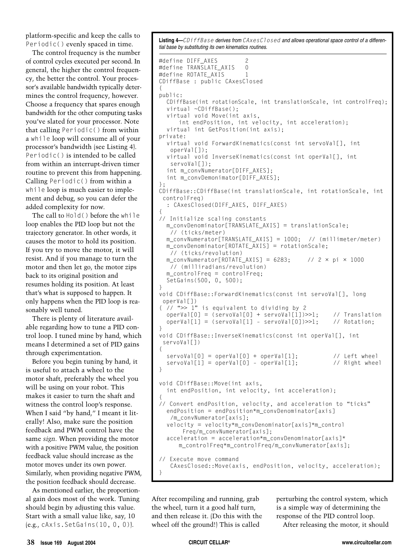platform-specific and keep the calls to Periodic() evenly spaced in time.

The control frequency is the number of control cycles executed per second. In general, the higher the control frequency, the better the control. Your processor's available bandwidth typically determines the control frequency, however. Choose a frequency that spares enough bandwidth for the other computing tasks you've slated for your processor. Note that calling Periodic() from within a while loop will consume all of your processor's bandwidth (see Listing 4). Periodic() is intended to be called from within an interrupt-driven timer routine to prevent this from happening. Calling Periodic() from within a while loop is much easier to implement and debug, so you can defer the added complexity for now.

The call to Hold() before the while loop enables the PID loop but not the trajectory generator. In other words, it causes the motor to hold its position. If you try to move the motor, it will resist. And if you manage to turn the motor and then let go, the motor zips back to its original position and resumes holding its position. At least that's what is supposed to happen. It only happens when the PID loop is reasonably well tuned.

There is plenty of literature available regarding how to tune a PID control loop. I tuned mine by hand, which means I determined a set of PID gains through experimentation.

Before you begin tuning by hand, it is useful to attach a wheel to the motor shaft, preferably the wheel you will be using on your robot. This makes it easier to turn the shaft and witness the control loop's response. When I said "by hand," I meant it literally! Also, make sure the position feedback and PWM control have the same *sign*. When providing the motor with a positive PWM value, the position feedback value should increase as the motor moves under its own power. Similarly, when providing negative PWM, the position feedback should decrease.

As mentioned earlier, the proportional gain does most of the work. Tuning should begin by adjusting this value. Start with a small value like, say, 10 (e.g., cAxis.SetGains(10, 0, 0)).

**Listing 4—***CDiffBase* derives from *CAxesClosed* and allows operational space control of a differential base by substituting its own kinematics routines.

```
#define DIFF_AXES 2
#define TRANSLATE_AXIS 0
#define ROTATE_AXIS 1
CDiffBase : public CAxesClosed
{
public:
  CDiffBase(int rotationScale, int translationScale, int controlFreq);
  virtual ~CDiffBase();
  virtual void Move(int axis, 
     int endPosition, int velocity, int acceleration);
  virtual int GetPosition(int axis); 
private:
  virtual void ForwardKinematics(const int servoVal[], int 
   operVal[]);
  virtual void InverseKinematics(const int operVal[], int 
   servoVal[]);
  int m_convNumerator[DIFF_AXES];
  int m_convDemonimator[DIFF_AXES];
};
CDiffBase::CDiffBase(int translationScale, int rotationScale, int 
 controlFreq)
  : CAxesClosed(DIFF_AXES, DIFF_AXES)
{
// Initialize scaling constants
  m_convDenominator[TRANSLATE_AXIS] = translationScale;
   // (ticks/meter)
  m_convNumerator[TRANSLATE_AXIS] = 1000; // (millimeter/meter)
  m_convDenominator[ROTATE_AXIS] = rotationScale; 
   // (ticks/revolution) 
  m convNumerator[ROTATE_AXIS] = 6283; // 2 × pi × 1000
   // (milliradians/revolution)
  m_controlFreq = controlFreq;
  SetGains(500, 0, 500);
}
void CDiffBase::ForwardKinematics(const int servoVal[], long 
operVal[])
\{ // ">> 1" is equivalent to dividing by 2
  operVal[0] = (servoVal[0] + servoVal[1]) >> 1; // Translation
  operVal[1] = (servoVal[1] - servoVal[0])>>1; // Rotation;
}
void CDiffBase::InverseKinematics(const int operVal[], int 
 servoVal[])
{ 
  servoVal[0] = operVal[0] + operVal[1]; // Left wheel
  servoVal[1] = operVal[0] - operVal[1]; // Right wheel
}
void CDiffBase::Move(int axis, 
  int endPosition, int velocity, int acceleration);
{
// Convert endPosition, velocity, and acceleration to "ticks"
  endPosition = endPosition*m_convDenominator[axis] 
   /m_convNumerator[axis]; 
  velocity = velocity*m_convDenominator[axis]*m_control
      Freq/m_convNumerator[axis];
  acceleration = acceleration * m_{conv}Denovm_controlFreq*m_controlFreq/m_convNumerator[axis];
// Execute move command 
   CAxesClosed::Move(axis, endPosition, velocity, acceleration);
}
```
After recompiling and running, grab the wheel, turn it a good half turn, and then release it. (Do this with the wheel off the ground!) This is called

perturbing the control system, which is a simple way of determining the response of the PID control loop.

After releasing the motor, it should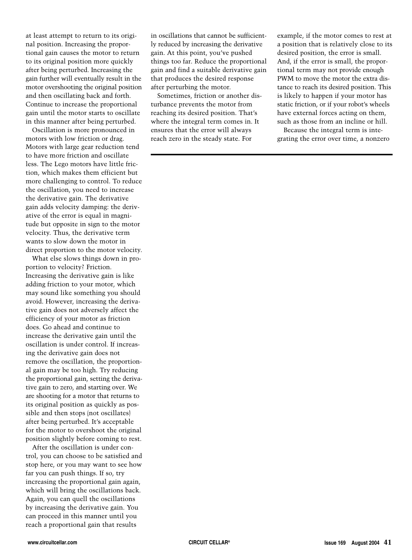at least attempt to return to its original position. Increasing the proportional gain causes the motor to return to its original position more quickly after being perturbed. Increasing the gain further will eventually result in the motor overshooting the original position and then oscillating back and forth. Continue to increase the proportional gain until the motor starts to oscillate in this manner after being perturbed.

Oscillation is more pronounced in motors with low friction or drag. Motors with large gear reduction tend to have more friction and oscillate less. The Lego motors have little friction, which makes them efficient but more challenging to control. To reduce the oscillation, you need to increase the derivative gain. The derivative gain adds velocity damping: the derivative of the error is equal in magnitude but opposite in sign to the motor velocity. Thus, the derivative term wants to slow down the motor in direct proportion to the motor velocity.

What else slows things down in proportion to velocity? Friction. Increasing the derivative gain is like adding friction to your motor, which may sound like something you should avoid. However, increasing the derivative gain does not adversely affect the efficiency of your motor as friction does. Go ahead and continue to increase the derivative gain until the oscillation is under control. If increasing the derivative gain does not remove the oscillation, the proportional gain may be too high. Try reducing the proportional gain, setting the derivative gain to zero, and starting over. We are shooting for a motor that returns to its original position as quickly as possible and then stops (not oscillates) after being perturbed. It's acceptable for the motor to overshoot the original position slightly before coming to rest.

After the oscillation is under control, you can choose to be satisfied and stop here, or you may want to see how far you can push things. If so, try increasing the proportional gain again, which will bring the oscillations back. Again, you can quell the oscillations by increasing the derivative gain. You can proceed in this manner until you reach a proportional gain that results

in oscillations that cannot be sufficiently reduced by increasing the derivative gain. At this point, you've pushed things too far. Reduce the proportional gain and find a suitable derivative gain that produces the desired response after perturbing the motor.

Sometimes, friction or another disturbance prevents the motor from reaching its desired position. That's where the integral term comes in. It ensures that the error will always reach zero in the steady state. For

example, if the motor comes to rest at a position that is relatively close to its desired position, the error is small. And, if the error is small, the proportional term may not provide enough PWM to move the motor the extra distance to reach its desired position. This is likely to happen if your motor has static friction, or if your robot's wheels have external forces acting on them, such as those from an incline or hill.

Because the integral term is integrating the error over time, a nonzero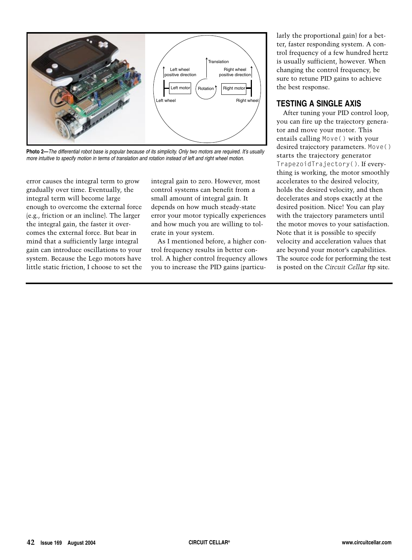

**Photo 2—**The differential robot base is popular because of its simplicity. Only two motors are required. It's usually more intuitive to specify motion in terms of translation and rotation instead of left and right wheel motion.

error causes the integral term to grow gradually over time. Eventually, the integral term will become large enough to overcome the external force (e.g., friction or an incline). The larger the integral gain, the faster it overcomes the external force. But bear in mind that a sufficiently large integral gain can introduce oscillations to your system. Because the Lego motors have little static friction, I choose to set the integral gain to zero. However, most control systems can benefit from a small amount of integral gain. It depends on how much steady-state error your motor typically experiences and how much you are willing to tolerate in your system.

As I mentioned before, a higher control frequency results in better control. A higher control frequency allows you to increase the PID gains (particu-

larly the proportional gain) for a better, faster responding system. A control frequency of a few hundred hertz is usually sufficient, however. When changing the control frequency, be sure to retune PID gains to achieve the best response.

#### **TESTING A SINGLE AXIS**

After tuning your PID control loop, you can fire up the trajectory generator and move your motor. This entails calling Move() with your desired trajectory parameters. Move() starts the trajectory generator TrapezoidTrajectory(). If everything is working, the motor smoothly accelerates to the desired velocity, holds the desired velocity, and then decelerates and stops exactly at the desired position. Nice! You can play with the trajectory parameters until the motor moves to your satisfaction. Note that it is possible to specify velocity and acceleration values that are beyond your motor's capabilities. The source code for performing the test is posted on the *Circuit Cellar* ftp site.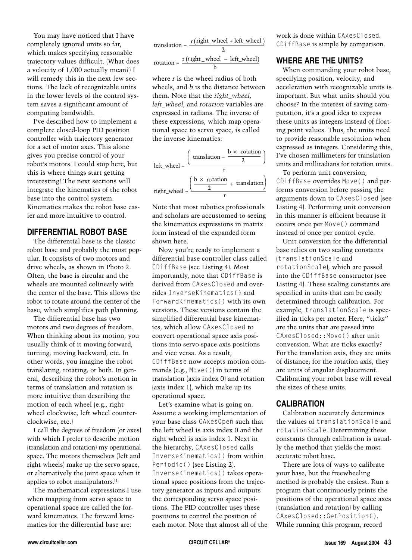You may have noticed that I have completely ignored units so far, which makes specifying reasonable trajectory values difficult. (What does a velocity of 1,000 actually mean?) I will remedy this in the next few sections. The lack of recognizable units in the lower levels of the control system saves a significant amount of computing bandwidth.

I've described how to implement a complete closed-loop PID position controller with trajectory generator for a set of motor axes. This alone gives you precise control of your robot's motors. I could stop here, but this is where things start getting interesting! The next sections will integrate the kinematics of the robot base into the control system. Kinematics makes the robot base easier and more intuitive to control.

#### **DIFFERENTIAL ROBOT BASE**

The differential base is the classic robot base and probably the most popular. It consists of two motors and drive wheels, as shown in Photo 2. Often, the base is circular and the wheels are mounted colinearly with the center of the base. This allows the robot to rotate around the center of the base, which simplifies path planning.

The differential base has two motors and two degrees of freedom. When thinking about its motion, you usually think of it moving forward, turning, moving backward, etc. In other words, you imagine the robot translating, rotating, or both. In general, describing the robot's motion in terms of translation and rotation is more intuitive than describing the motion of each wheel (e.g., right wheel clockwise, left wheel counterclockwise, etc.)

I call the degrees of freedom (or axes) with which I prefer to describe motion (translation and rotation) my operational space. The motors themselves (left and right wheels) make up the servo space, or alternatively the joint space when it applies to robot manipulators.[1]

The mathematical expressions I use when mapping from servo space to operational space are called the forward kinematics. The forward kinematics for the differential base are:

$$
translation = \frac{r (right\_wheel + left\_wheel)}{2}
$$
  
rotation = 
$$
\frac{r (right\_wheel - left\_wheel)}{b}
$$

where *r* is the wheel radius of both wheels, and *b* is the distance between them. Note that the *right\_wheel*, *left\_wheel*, and *rotation* variables are expressed in radians. The inverse of these expressions, which map operational space to servo space, is called the inverse kinematics:

left<sub>2</sub> wheel = 
$$
\frac{\left(\frac{\text{translation}}{2} - \frac{b \times \text{ rotation}}{2}\right)}{r}
$$
  
right<sub>2</sub> wheel = 
$$
\frac{\left(\frac{b \times \text{rotation}}{2} + \text{translation}\right)}{r}
$$

Note that most robotics professionals and scholars are accustomed to seeing the kinematics expressions in matrix form instead of the expanded form shown here.

Now you're ready to implement a differential base controller class called CDiffBase (see Listing 4). Most importantly, note that CDiffBase is derived from CAxesClosed and overrides InverseKinematics() and ForwardKinematics() with its own versions. These versions contain the simplified differential base kinematics, which allow CAxesClosed to convert operational space axis positions into servo space axis positions and vice versa. As a result, CDiffBase now accepts motion commands (e.g., Move()) in terms of translation (axis index 0) and rotation (axis index 1), which make up its operational space.

Let's examine what is going on. Assume a working implementation of your base class CAxesOpen such that the left wheel is axis index 0 and the right wheel is axis index 1. Next in the hierarchy, CAxesClosed calls InverseKinematics() from within Periodic() (see Listing 2). InverseKinematics() takes operational space positions from the trajectory generator as inputs and outputs the corresponding servo space positions. The PID controller uses these positions to control the position of each motor. Note that almost all of the work is done within CAxesClosed. CDiffBase is simple by comparison.

#### **WHERE ARE THE UNITS?**

When commanding your robot base, specifying position, velocity, and acceleration with recognizable units is important. But what units should you choose? In the interest of saving computation, it's a good idea to express these units as integers instead of floating point values. Thus, the units need to provide reasonable resolution when expressed as integers. Considering this, I've chosen millimeters for translation units and milliradians for rotation units.

To perform unit conversion, CDiffBase overrides Move() and performs conversion before passing the arguments down to CAxesClosed (see Listing 4). Performing unit conversion in this manner is efficient because it occurs once per Move() command instead of once per control cycle.

Unit conversion for the differential base relies on two scaling constants (translationScale and rotationScale), which are passed into the CDiffBase constructor (see Listing 4). These scaling constants are specified in units that can be easily determined through calibration. For example, translationScale is specified in ticks per meter. Here, "ticks" are the units that are passed into CAxesClosed::Move() after unit conversion. What are ticks exactly? For the translation axis, they are units of distance; for the rotation axis, they are units of angular displacement. Calibrating your robot base will reveal the sizes of these units.

#### **CALIBRATION**

Calibration accurately determines the values of translationScale and rotationScale. Determining these constants through calibration is usually the method that yields the most accurate robot base.

There are lots of ways to calibrate your base, but the freewheeling method is probably the easiest. Run a program that continuously prints the positions of the operational space axes (translation and rotation) by calling CAxesClosed::GetPosition(). While running this program, record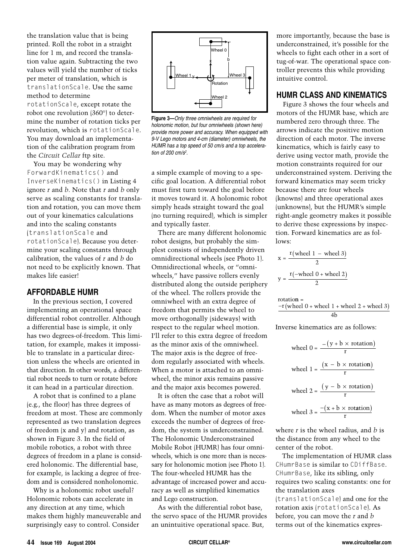the translation value that is being printed. Roll the robot in a straight line for 1 m, and record the translation value again. Subtracting the two values will yield the number of ticks per meter of translation, which is translationScale. Use the same method to determine rotationScale, except rotate the robot one revolution (360°) to determine the number of rotation ticks per revolution, which is rotationScale. You may download an implementation of the calibration program from the *Circuit Cellar* ftp site.

You may be wondering why ForwardKinematics() and InverseKinematics() in Listing 4 ignore *r* and *b*. Note that *r* and *b* only serve as scaling constants for translation and rotation, you can move them out of your kinematics calculations and into the scaling constants (translationScale and rotationScale). Because you determine your scaling constants through calibration, the values of *r* and *b* do not need to be explicitly known. That makes life easier!

#### **AFFORDABLE HUMR**

In the previous section, I covered implementing an operational space differential robot controller. Although a differential base is simple, it only has two degrees-of-freedom. This limitation, for example, makes it impossible to translate in a particular direction unless the wheels are oriented in that direction. In other words, a differential robot needs to turn or rotate before it can head in a particular direction.

A robot that is confined to a plane (e.g., the floor) has three degrees of freedom at most. These are commonly represented as two translation degrees of freedom (x and y) and rotation, as shown in Figure 3. In the field of mobile robotics, a robot with three degrees of freedom in a plane is considered holonomic. The differential base, for example, is lacking a degree of freedom and is considered nonholonomic.

Why is a holonomic robot useful? Holonomic robots can accelerate in any direction at any time, which makes them highly maneuverable and surprisingly easy to control. Consider



**Figure 3—**Only three omniwheels are required for holonomic motion, but four omniwheels (shown here) provide more power and accuracy. When equipped with 9-V Lego motors and 4-cm (diameter) omniwheels, the HUMR has a top speed of 50 cm/s and a top acceleration of 200  $cm/s^2$ .

a simple example of moving to a specific goal location. A differential robot must first turn toward the goal before it moves toward it. A holonomic robot simply heads straight toward the goal (no turning required), which is simpler and typically faster.

There are many different holonomic robot designs, but probably the simplest consists of independently driven omnidirectional wheels (see Photo 1). Omnidirectional wheels, or "omniwheels," have passive rollers evenly distributed along the outside periphery of the wheel. The rollers provide the omniwheel with an extra degree of freedom that permits the wheel to move orthogonally (sideways) with respect to the regular wheel motion. I'll refer to this extra degree of freedom as the minor axis of the omniwheel. The major axis is the degree of freedom regularly associated with wheels. When a motor is attached to an omniwheel, the minor axis remains passive and the major axis becomes powered.

It is often the case that a robot will have as many motors as degrees of freedom. When the number of motor axes exceeds the number of degrees of freedom, the system is underconstrained. The Holonomic Underconstrained Mobile Robot (HUMR) has four omniwheels, which is one more than is necessary for holonomic motion (see Photo 1). The four-wheeled HUMR has the advantage of increased power and accuracy as well as simplified kinematics and Lego construction.

As with the differential robot base, the servo space of the HUMR provides an unintuitive operational space. But,

more importantly, because the base is underconstrained, it's possible for the wheels to fight each other in a sort of tug-of-war. The operational space controller prevents this while providing intuitive control.

#### **HUMR CLASS AND KINEMATICS**

Figure 3 shows the four wheels and motors of the HUMR base, which are numbered zero through three. The arrows indicate the positive motion direction of each motor. The inverse kinematics, which is fairly easy to derive using vector math, provide the motion constraints required for our underconstrained system. Deriving the forward kinematics may seem tricky because there are four wheels (knowns) and three operational axes (unknowns), but the HUMR's simple right-angle geometry makes it possible to derive these expressions by inspection. Forward kinematics are as fol $l$ ows:

$$
x = \frac{r(\text{wheel } 1 - \text{wheel } 3)}{2}
$$

$$
y = \frac{r(-\text{wheel } 0 + \text{wheel } 2)}{2}
$$

$$
\frac{-r(\text{wheel 0 + wheel 1 + wheel 2 + wheel 3})}{4b}
$$

Inverse kinematics are as follows:

wheel 0 = 
$$
\frac{-(y + b \times \text{rotation})}{r}
$$
wheel 1 = 
$$
\frac{(x - b \times \text{rotation})}{r}
$$
wheel 2 = 
$$
\frac{(y - b \times \text{rotation})}{r}
$$
wheel 3 = 
$$
\frac{-(x + b \times \text{rotation})}{r}
$$

where *r* is the wheel radius, and *b* is the distance from any wheel to the center of the robot.

The implementation of HUMR class CHumrBase is similar to CDiffBase. CHumrBase, like its sibling, only requires two scaling constants: one for the translation axes

(translationScale) and one for the rotation axis (rotationScale). As before, you can move the *r* and *b* terms out of the kinematics expres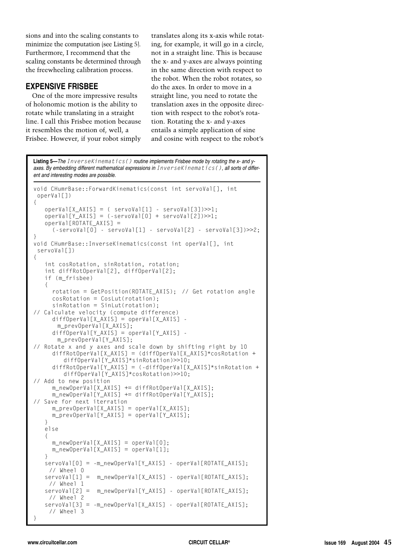sions and into the scaling constants to minimize the computation (see Listing 5). Furthermore, I recommend that the scaling constants be determined through the freewheeling calibration process.

#### **EXPENSIVE FRISBEE**

One of the more impressive results of holonomic motion is the ability to rotate while translating in a straight line. I call this Frisbee motion because it resembles the motion of, well, a Frisbee. However, if your robot simply translates along its x-axis while rotating, for example, it will go in a circle, not in a straight line. This is because the x- and y-axes are always pointing in the same direction with respect to the robot. When the robot rotates, so do the axes. In order to move in a straight line, you need to rotate the translation axes in the opposite direction with respect to the robot's rotation. Rotating the x- and y-axes entails a simple application of sine and cosine with respect to the robot's

```
Listing 5—The InverseKinematics() routine implements Frisbee mode by rotating the x- and y-
axes. By embedding different mathematical expressions in InverseKinematics(), all sorts of differ-
ent and interesting modes are possible.
void CHumrBase::ForwardKinematics(const int servoVal[], int 
 operVal[])
{
   operVal[X_AXIS] = ( servoval[1] - servoval[3])>>1;operVal[Y_AXIS] = (-servoidal[0] + servoval[2])>>1;operVal[ROTATE_AXIS] = 
     (-servoVal[0] - servoVal[1] - servoVal[2] - servoVal[3])>>2; 
}
void CHumrBase::InverseKinematics(const int operVal[], int 
 servoVal[])
{
   int cosRotation, sinRotation, rotation;
   int diffRotOperVal[2], diffOperVal[2];
   if (m_frisbee) 
   {
     rotation = GetPosition(ROTATE_AXIS); // Get rotation angle
     cosRotation = CosLut(rotation);
     sinRotation = SinLut(rotation);
// Calculate velocity (compute difference)
     diffOperVal[X_AXIS] = operVal[X_AXIS] - 
       m_prevOperVal[X_AXIS];
     diffOperVal[Y_AXIS] = operVal[Y_AXIS] - 
       m_prevOperVal[Y_AXIS];
// Rotate x and y axes and scale down by shifting right by 10
     diffRotOperVal[X_AXIS] = (diffOperVal[X_AXIS]*cosRotation +
         diffOperVal[Y_AXIS]*sinRotation)>>10;
     diffRotOperVal[Y_AXIS] = (-diffOperVal[X_AXIS]*sinRotation +
         diffOperVal[Y_AXIS]*cosRotation)>>10; 
// Add to new position
     m_newOperVal[X_AXIS] += diffRotOperVal[X_AXIS];
     m_newOperVal[Y_AXIS] += diffRotOperVal[Y_AXIS];
// Save for next iterration
     m_prevOperVal[X_AXIS] = operVal[X_AXIS];
     m_prevOperVal[Y_AXIS] = operVal[Y_AXIS];
   }
   else
   {
     m_newOperVal[X_AXIS] = operVal[0]:
     m_newOperVal[X_AXIS] = operVal[1];
   }
   servoVal[0] = -m_newOperVal[Y_AXIS] - operVal[ROTATE_AXIS]; 
    // Wheel 0
   servoVal[1] = m_newOperVal[X_AXIS] - operVal[ROTATE_AXIS]; 
    // Wheel 1
   servoVal[2] = m_newOperVal[Y_AXIS] - operVal[ROTATE_AXIS]; 
    // Wheel 2
   servoVal[3] = -m_newOperVal[X_AXIS] - operVal[ROTATE_AXIS]; 
     // Wheel 3
}
```